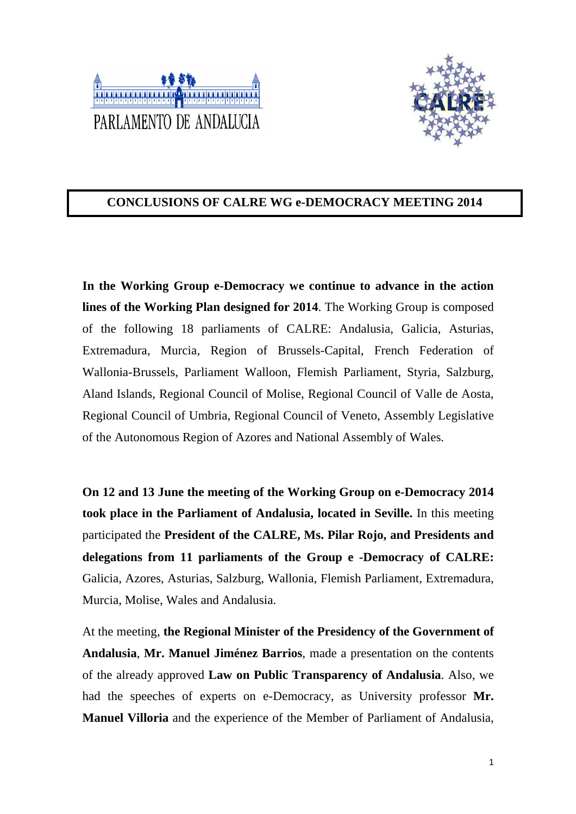



## **CONCLUSIONS OF CALRE WG e-DEMOCRACY MEETING 2014**

**In the Working Group e-Democracy we continue to advance in the action lines of the Working Plan designed for 2014**. The Working Group is composed of the following 18 parliaments of CALRE: Andalusia, Galicia, Asturias, Extremadura, Murcia, Region of Brussels-Capital, French Federation of Wallonia-Brussels, Parliament Walloon, Flemish Parliament, Styria, Salzburg, Aland Islands, Regional Council of Molise, Regional Council of Valle de Aosta, Regional Council of Umbria, Regional Council of Veneto, Assembly Legislative of the Autonomous Region of Azores and National Assembly of Wales.

**On 12 and 13 June the meeting of the Working Group on e-Democracy 2014 took place in the Parliament of Andalusia, located in Seville.** In this meeting participated the **President of the CALRE, Ms. Pilar Rojo, and Presidents and delegations from 11 parliaments of the Group e -Democracy of CALRE:**  Galicia, Azores, Asturias, Salzburg, Wallonia, Flemish Parliament, Extremadura, Murcia, Molise, Wales and Andalusia.

At the meeting, **the Regional Minister of the Presidency of the Government of Andalusia**, **Mr. Manuel Jiménez Barrios**, made a presentation on the contents of the already approved **Law on Public Transparency of Andalusia**. Also, we had the speeches of experts on e-Democracy, as University professor **Mr. Manuel Villoria** and the experience of the Member of Parliament of Andalusia,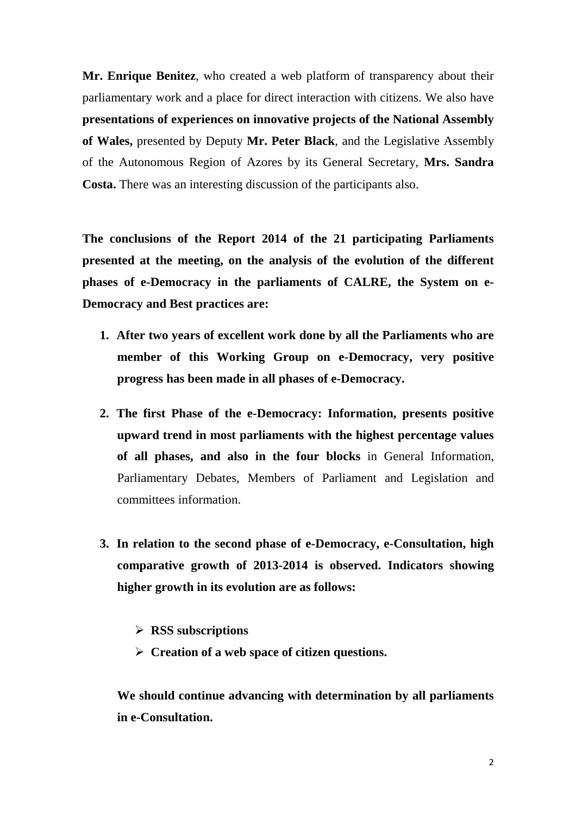**Mr. Enrique Benitez**, who created a web platform of transparency about their parliamentary work and a place for direct interaction with citizens. We also have **presentations of experiences on innovative projects of the National Assembly of Wales,** presented by Deputy **Mr. Peter Black**, and the Legislative Assembly of the Autonomous Region of Azores by its General Secretary, **Mrs. Sandra Costa.** There was an interesting discussion of the participants also.

**The conclusions of the Report 2014 of the 21 participating Parliaments presented at the meeting, on the analysis of the evolution of the different phases of e-Democracy in the parliaments of CALRE, the System on e-Democracy and Best practices are:** 

- **1. After two years of excellent work done by all the Parliaments who are member of this Working Group on e-Democracy, very positive progress has been made in all phases of e-Democracy.**
- **2. The first Phase of the e-Democracy: Information, presents positive upward trend in most parliaments with the highest percentage values of all phases, and also in the four blocks** in General Information, Parliamentary Debates, Members of Parliament and Legislation and committees information.
- **3. In relation to the second phase of e-Democracy, e-Consultation, high comparative growth of 2013-2014 is observed. Indicators showing higher growth in its evolution are as follows:** 
	- **RSS subscriptions**
	- **Creation of a web space of citizen questions.**

**We should continue advancing with determination by all parliaments in e-Consultation.**